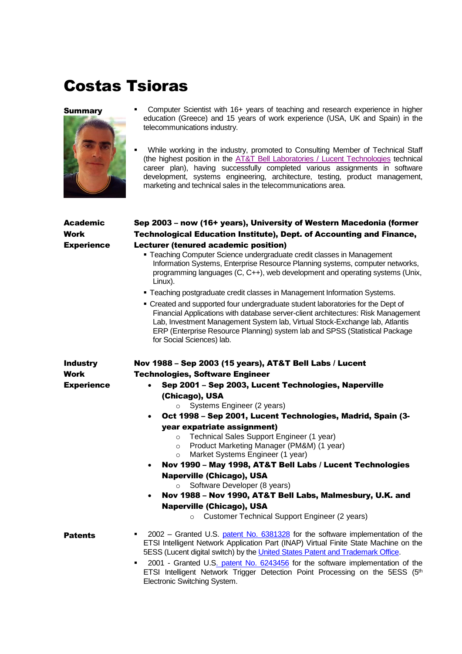## Costas Tsioras



- **Summary** Computer Scientist with 16+ years of teaching and research experience in higher education (Greece) and 15 years of work experience (USA, UK and Spain) in the telecommunications industry.
	- While working in the industry, promoted to Consulting Member of Technical Staff (the highest position in the [AT&T Bell Laboratories / Lucent Technologies](http://www.alcatel-lucent.com/wps/portal/BellLabs) technical career plan), having successfully completed various assignments in software development, systems engineering, architecture, testing, product management, marketing and technical sales in the telecommunications area.

| <b>Academic</b><br>Work<br><b>Experience</b> | Sep 2003 - now (16+ years), University of Western Macedonia (former<br><b>Technological Education Institute), Dept. of Accounting and Finance,</b><br>Lecturer (tenured academic position)<br>• Teaching Computer Science undergraduate credit classes in Management<br>Information Systems, Enterprise Resource Planning systems, computer networks,<br>programming languages (C, C++), web development and operating systems (Unix,<br>Linux).<br>• Teaching postgraduate credit classes in Management Information Systems.<br>• Created and supported four undergraduate student laboratories for the Dept of<br>Financial Applications with database server-client architectures: Risk Management<br>Lab, Investment Management System lab, Virtual Stock-Exchange lab, Atlantis<br>ERP (Enterprise Resource Planning) system lab and SPSS (Statistical Package<br>for Social Sciences) lab. |
|----------------------------------------------|--------------------------------------------------------------------------------------------------------------------------------------------------------------------------------------------------------------------------------------------------------------------------------------------------------------------------------------------------------------------------------------------------------------------------------------------------------------------------------------------------------------------------------------------------------------------------------------------------------------------------------------------------------------------------------------------------------------------------------------------------------------------------------------------------------------------------------------------------------------------------------------------------|
| <b>Industry</b><br>Work<br><b>Experience</b> | Nov 1988 - Sep 2003 (15 years), AT&T Bell Labs / Lucent<br><b>Technologies, Software Engineer</b><br>Sep 2001 - Sep 2003, Lucent Technologies, Naperville<br>$\bullet$<br>(Chicago), USA<br>Systems Engineer (2 years)<br>$\circ$<br>Oct 1998 - Sep 2001, Lucent Technologies, Madrid, Spain (3-<br>$\bullet$<br>year expatriate assignment)<br>Technical Sales Support Engineer (1 year)<br>$\circ$<br>Product Marketing Manager (PM&M) (1 year)<br>$\circ$<br>Market Systems Engineer (1 year)<br>$\circ$<br>Nov 1990 - May 1998, AT&T Bell Labs / Lucent Technologies<br>$\bullet$<br><b>Naperville (Chicago), USA</b><br>Software Developer (8 years)<br>$\circ$<br>Nov 1988 - Nov 1990, AT&T Bell Labs, Malmesbury, U.K. and<br>$\bullet$<br><b>Naperville (Chicago), USA</b><br>Customer Technical Support Engineer (2 years)<br>$\Omega$                                                  |
| <b>Patents</b>                               | 2002 – Granted U.S. patent No. 6381328 for the software implementation of the<br>ETSI Intelligent Network Application Part (INAP) Virtual Finite State Machine on the<br>5ESS (Lucent digital switch) by the United States Patent and Trademark Office.<br>2001 - Granted U.S. patent No. 6243456 for the software implementation of the<br>٠<br>ETSI Intelligent Network Trigger Detection Point Processing on the 5ESS (5th<br>Electronic Switching System.                                                                                                                                                                                                                                                                                                                                                                                                                                    |